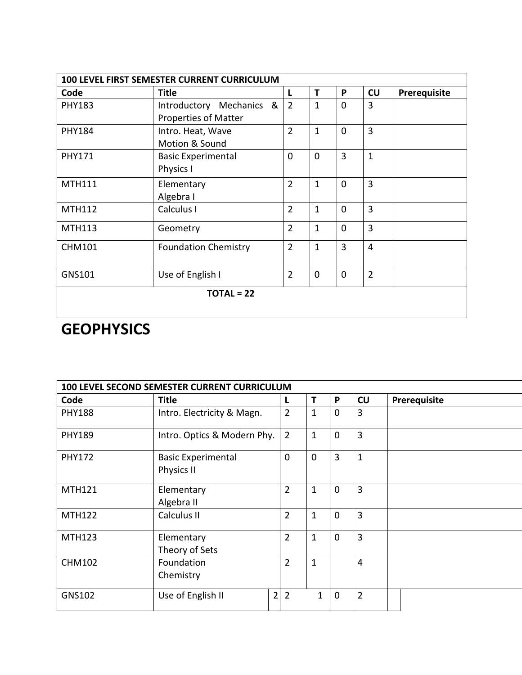| 100 LEVEL FIRST SEMESTER CURRENT CURRICULUM |                                                  |                |              |             |                |              |  |  |
|---------------------------------------------|--------------------------------------------------|----------------|--------------|-------------|----------------|--------------|--|--|
| Code                                        | <b>Title</b>                                     | L              | T            | P           | CU             | Prerequisite |  |  |
| <b>PHY183</b>                               | Introductory Mechanics &<br>Properties of Matter | $\overline{2}$ | $\mathbf{1}$ | $\Omega$    | 3              |              |  |  |
| <b>PHY184</b>                               | Intro. Heat, Wave<br>Motion & Sound              | $\overline{2}$ | $\mathbf{1}$ | $\mathbf 0$ | 3              |              |  |  |
| <b>PHY171</b>                               | <b>Basic Experimental</b><br>Physics I           | $\mathbf{0}$   | $\mathbf 0$  | 3           | $\mathbf{1}$   |              |  |  |
| <b>MTH111</b>                               | Elementary<br>Algebra I                          | $\overline{2}$ | $\mathbf{1}$ | $\mathbf 0$ | 3              |              |  |  |
| <b>MTH112</b>                               | Calculus I                                       | $\overline{2}$ | $\mathbf{1}$ | $\mathbf 0$ | 3              |              |  |  |
| <b>MTH113</b>                               | Geometry                                         | $\overline{2}$ | $\mathbf{1}$ | $\mathbf 0$ | 3              |              |  |  |
| <b>CHM101</b>                               | <b>Foundation Chemistry</b>                      | $\overline{2}$ | $\mathbf{1}$ | 3           | $\overline{4}$ |              |  |  |
| GNS101                                      | Use of English I                                 | $\overline{2}$ | $\mathbf 0$  | $\mathbf 0$ | $\overline{2}$ |              |  |  |
| $TOTAL = 22$                                |                                                  |                |              |             |                |              |  |  |
|                                             |                                                  |                |              |             |                |              |  |  |

## **GEOPHYSICS**

| 100 LEVEL SECOND SEMESTER CURRENT CURRICULUM |                                         |                |              |             |                |              |  |
|----------------------------------------------|-----------------------------------------|----------------|--------------|-------------|----------------|--------------|--|
| Code                                         | <b>Title</b>                            | L              | T            | P           | CU             | Prerequisite |  |
| <b>PHY188</b>                                | Intro. Electricity & Magn.              | $\overline{2}$ | $\mathbf{1}$ | $\mathbf 0$ | 3              |              |  |
| <b>PHY189</b>                                | Intro. Optics & Modern Phy.             | $\overline{2}$ | $\mathbf{1}$ | $\mathbf 0$ | 3              |              |  |
| <b>PHY172</b>                                | <b>Basic Experimental</b><br>Physics II | $\Omega$       | $\Omega$     | 3           | $\mathbf{1}$   |              |  |
| <b>MTH121</b>                                | Elementary<br>Algebra II                | $\overline{2}$ | $\mathbf{1}$ | $\mathbf 0$ | 3              |              |  |
| <b>MTH122</b>                                | Calculus II                             | $\overline{2}$ | $\mathbf{1}$ | $\mathbf 0$ | 3              |              |  |
| <b>MTH123</b>                                | Elementary<br>Theory of Sets            | $\overline{2}$ | $\mathbf{1}$ | $\mathbf 0$ | 3              |              |  |
| <b>CHM102</b>                                | Foundation<br>Chemistry                 | $\overline{2}$ | $\mathbf{1}$ |             | $\overline{4}$ |              |  |
| <b>GNS102</b>                                | $\overline{2}$<br>Use of English II     | $\overline{2}$ | $\mathbf{1}$ | $\mathbf 0$ | $\overline{2}$ |              |  |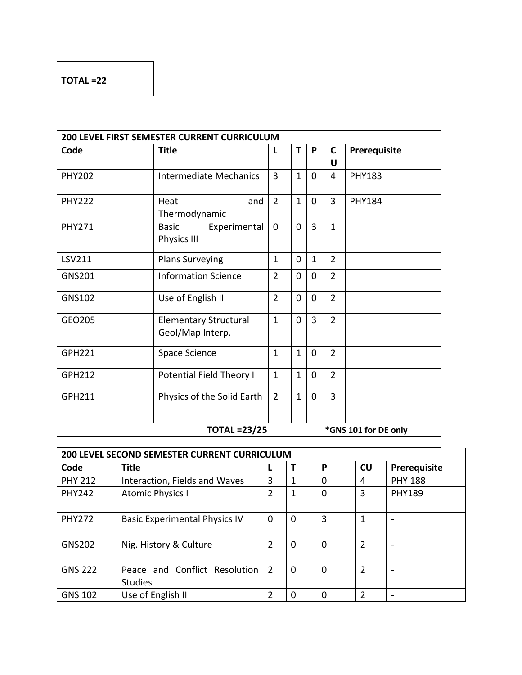## **TOTAL =22**

|                |                         | 200 LEVEL FIRST SEMESTER CURRENT CURRICULUM      |                |              |                |                                  |                      |                          |
|----------------|-------------------------|--------------------------------------------------|----------------|--------------|----------------|----------------------------------|----------------------|--------------------------|
| Code           |                         | <b>Title</b>                                     | L              | Т            | P              | $\mathbf c$<br>Prerequisite<br>U |                      |                          |
| <b>PHY202</b>  |                         | <b>Intermediate Mechanics</b>                    | 3              | $\mathbf{1}$ | $\mathbf 0$    | 4                                | <b>PHY183</b>        |                          |
| <b>PHY222</b>  |                         | Heat<br>and<br>Thermodynamic                     | $\overline{2}$ | $\mathbf{1}$ | $\mathbf 0$    | $\overline{3}$                   | <b>PHY184</b>        |                          |
| <b>PHY271</b>  |                         | <b>Basic</b><br>Experimental<br>Physics III      | $\mathbf 0$    | 0            | $\overline{3}$ | $\mathbf{1}$                     |                      |                          |
| LSV211         |                         | <b>Plans Surveying</b>                           | $\mathbf{1}$   | $\mathbf 0$  | $\mathbf{1}$   | $\overline{2}$                   |                      |                          |
| <b>GNS201</b>  |                         | <b>Information Science</b>                       | $\overline{2}$ | 0            | $\mathbf 0$    | $\overline{2}$                   |                      |                          |
| <b>GNS102</b>  |                         | Use of English II                                | $\overline{2}$ | 0            | $\mathbf 0$    | $\overline{2}$                   |                      |                          |
| GEO205         |                         | <b>Elementary Structural</b><br>Geol/Map Interp. | $\mathbf{1}$   | $\mathbf 0$  | $\overline{3}$ | $\overline{2}$                   |                      |                          |
| <b>GPH221</b>  |                         | Space Science                                    | $\mathbf{1}$   | $\mathbf{1}$ | $\mathbf 0$    | $\overline{2}$                   |                      |                          |
| <b>GPH212</b>  |                         | Potential Field Theory I                         | $\mathbf{1}$   | $\mathbf{1}$ | $\mathbf 0$    | $\overline{2}$                   |                      |                          |
| GPH211         |                         | Physics of the Solid Earth                       | $\overline{2}$ | $\mathbf{1}$ | $\mathbf 0$    | $\overline{3}$                   |                      |                          |
|                |                         | <b>TOTAL =23/25</b>                              |                |              |                |                                  | *GNS 101 for DE only |                          |
|                |                         | 200 LEVEL SECOND SEMESTER CURRENT CURRICULUM     |                |              |                |                                  |                      |                          |
| Code           | <b>Title</b>            |                                                  | L              | T            |                | P                                | CU                   | Prerequisite             |
| <b>PHY 212</b> |                         | Interaction, Fields and Waves                    | 3              | $\mathbf{1}$ | 0              |                                  | 4                    | <b>PHY 188</b>           |
| <b>PHY242</b>  | <b>Atomic Physics I</b> |                                                  | $\overline{2}$ | $\mathbf 1$  |                | 0                                | 3                    | <b>PHY189</b>            |
| <b>PHY272</b>  |                         | <b>Basic Experimental Physics IV</b>             | 0              | $\mathbf 0$  | 3              |                                  | $\mathbf 1$          |                          |
| <b>GNS202</b>  | Nig. History & Culture  |                                                  | $\overline{2}$ | 0            |                | $\mathbf 0$                      | $\overline{2}$       | $\overline{\phantom{a}}$ |
| <b>GNS 222</b> | <b>Studies</b>          | Peace and Conflict Resolution                    | $\overline{2}$ | 0            | $\mathbf 0$    |                                  | $\overline{2}$       | $\blacksquare$           |
| <b>GNS 102</b> |                         | Use of English II                                | $\overline{2}$ | $\pmb{0}$    | $\pmb{0}$      |                                  | $\overline{2}$       | $\overline{a}$           |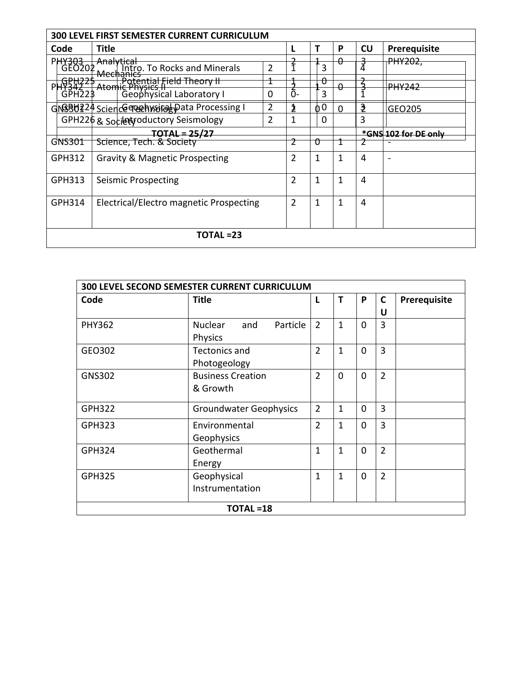| 300 LEVEL FIRST SEMESTER CURRENT CURRICULUM                                        |                                                                                                           |                                  |                |                            |          |                      |                     |  |  |
|------------------------------------------------------------------------------------|-----------------------------------------------------------------------------------------------------------|----------------------------------|----------------|----------------------------|----------|----------------------|---------------------|--|--|
| Code                                                                               | Title                                                                                                     |                                  |                | т                          | P        | <b>CU</b>            | <b>Prerequisite</b> |  |  |
| PHY303<br>  GEO202                                                                 | Analytical<br>Analytical To Rocks and Minerals                                                            | $\overline{2}$                   |                | 3                          | θ        |                      | <del>PHY202,</del>  |  |  |
| PHY342<br>GPH223                                                                   | Mechanics<br><b>Fotential Field Theory II</b><br><b>Atomic Physics II</b><br>3 (Geophysical Laboratory I) | 0                                | ົດ-            | $\boldsymbol{\theta}$<br>3 | 0        |                      | <b>PHY242</b>       |  |  |
|                                                                                    | GNSBU224 Science Tech Waired Data Processing I<br>GPH226 & Socilety oductory Seismology                   | $\overline{2}$<br>$\overline{2}$ | 2              | 0 <sup>0</sup><br>$\Omega$ | $\Omega$ | $\mathbf{3}$<br>3    | GEO205              |  |  |
| TOTAL = 25/27<br>Science, Tech. & Society                                          |                                                                                                           |                                  |                |                            |          | *GNS 102 for DE only |                     |  |  |
| GNS301                                                                             |                                                                                                           |                                  |                | U                          |          |                      |                     |  |  |
| GPH312                                                                             | Gravity & Magnetic Prospecting                                                                            |                                  | $\overline{2}$ | 1                          | 1        | 4                    |                     |  |  |
| GPH313                                                                             | Seismic Prospecting                                                                                       |                                  | 2              | 1                          | 1        | 4                    |                     |  |  |
| $\overline{2}$<br>GPH314<br>Electrical/Electro magnetic Prospecting<br>1<br>1<br>4 |                                                                                                           |                                  |                |                            |          |                      |                     |  |  |
| TOTAL =23                                                                          |                                                                                                           |                                  |                |                            |          |                      |                     |  |  |

| 300 LEVEL SECOND SEMESTER CURRENT CURRICULUM |                                   |                |              |          |                |              |  |  |
|----------------------------------------------|-----------------------------------|----------------|--------------|----------|----------------|--------------|--|--|
| Code                                         | <b>Title</b>                      | L              |              | P        | C              | Prerequisite |  |  |
|                                              |                                   |                |              |          | U              |              |  |  |
| <b>PHY362</b>                                | <b>Nuclear</b><br>and<br>Particle | $\overline{2}$ | 1            | $\Omega$ | 3              |              |  |  |
|                                              | Physics                           |                |              |          |                |              |  |  |
| GEO302                                       | <b>Tectonics and</b>              | $\overline{2}$ | $\mathbf{1}$ | $\Omega$ | 3              |              |  |  |
|                                              | Photogeology                      |                |              |          |                |              |  |  |
| <b>GNS302</b>                                | <b>Business Creation</b>          | $\overline{2}$ | $\Omega$     | $\Omega$ | $\overline{2}$ |              |  |  |
|                                              | & Growth                          |                |              |          |                |              |  |  |
|                                              |                                   |                |              |          |                |              |  |  |
| <b>GPH322</b>                                | <b>Groundwater Geophysics</b>     | $\overline{2}$ | 1            | $\Omega$ | 3              |              |  |  |
| <b>GPH323</b>                                | Environmental                     | $\overline{2}$ | 1            | $\Omega$ | 3              |              |  |  |
|                                              | Geophysics                        |                |              |          |                |              |  |  |
| GPH324                                       | Geothermal                        | 1              | 1            | $\Omega$ | $\overline{2}$ |              |  |  |
|                                              | Energy                            |                |              |          |                |              |  |  |
| <b>GPH325</b>                                | Geophysical                       | $\overline{1}$ | 1            | $\Omega$ | $\overline{2}$ |              |  |  |
|                                              | Instrumentation                   |                |              |          |                |              |  |  |
|                                              | <b>TOTAL =18</b>                  |                |              |          |                |              |  |  |